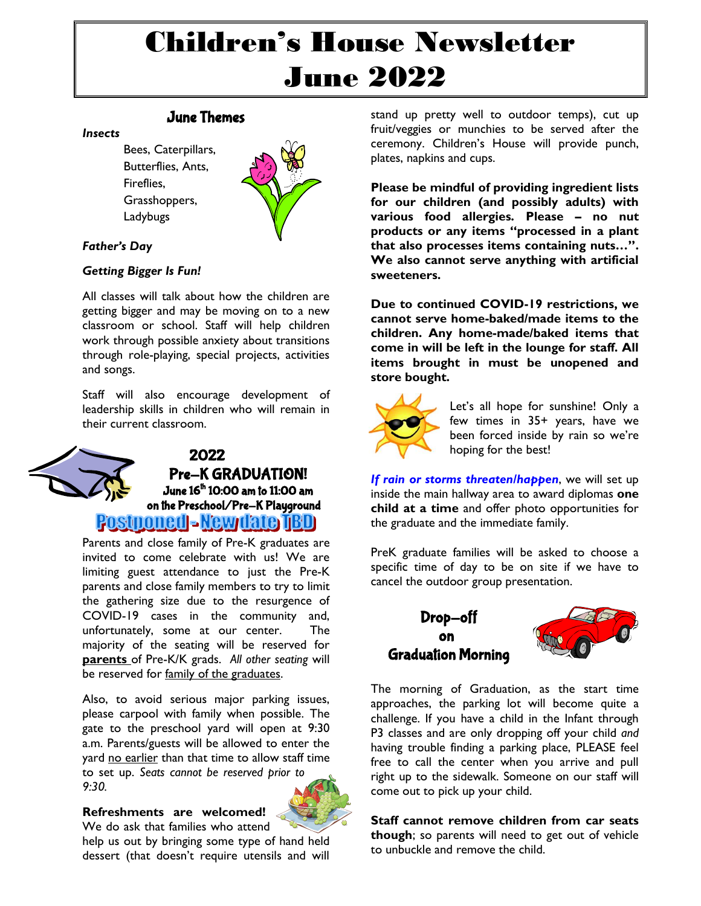# Children's House Newsletter June 2022

## June Themes

#### *Insects*

Bees, Caterpillars, Butterflies, Ants, Fireflies, Grasshoppers, Ladybugs



## *Father's Day*

## *Getting Bigger Is Fun!*

All classes will talk about how the children are getting bigger and may be moving on to a new classroom or school. Staff will help children work through possible anxiety about transitions through role-playing, special projects, activities and songs.

Staff will also encourage development of leadership skills in children who will remain in their current classroom.



Parents and close family of Pre-K graduates are invited to come celebrate with us! We are limiting guest attendance to just the Pre-K parents and close family members to try to limit the gathering size due to the resurgence of COVID-19 cases in the community and, unfortunately, some at our center. The majority of the seating will be reserved for **parents** of Pre-K/K grads. *All other seating* will be reserved for family of the graduates.

Also, to avoid serious major parking issues, please carpool with family when possible. The gate to the preschool yard will open at 9:30 a.m. Parents/guests will be allowed to enter the yard no earlier than that time to allow staff time to set up. *Seats cannot be reserved prior to 9:30.* 

### **Refreshments are welcomed!**



We do ask that families who attend help us out by bringing some type of hand held dessert (that doesn't require utensils and will

stand up pretty well to outdoor temps), cut up fruit/veggies or munchies to be served after the ceremony. Children's House will provide punch, plates, napkins and cups.

**Please be mindful of providing ingredient lists for our children (and possibly adults) with various food allergies. Please – no nut products or any items "processed in a plant that also processes items containing nuts…". We also cannot serve anything with artificial sweeteners.** 

**Due to continued COVID-19 restrictions, we cannot serve home-baked/made items to the children. Any home-made/baked items that come in will be left in the lounge for staff. All items brought in must be unopened and store bought.**



Let's all hope for sunshine! Only a few times in 35+ years, have we been forced inside by rain so we're hoping for the best!

*If rain or storms threaten/happen*, we will set up inside the main hallway area to award diplomas **one child at a time** and offer photo opportunities for the graduate and the immediate family.

PreK graduate families will be asked to choose a specific time of day to be on site if we have to cancel the outdoor group presentation.

# Drop-off on Graduation Morning



The morning of Graduation, as the start time approaches, the parking lot will become quite a challenge. If you have a child in the Infant through P3 classes and are only dropping off your child *and* having trouble finding a parking place, PLEASE feel free to call the center when you arrive and pull right up to the sidewalk. Someone on our staff will come out to pick up your child.

**Staff cannot remove children from car seats though**; so parents will need to get out of vehicle to unbuckle and remove the child.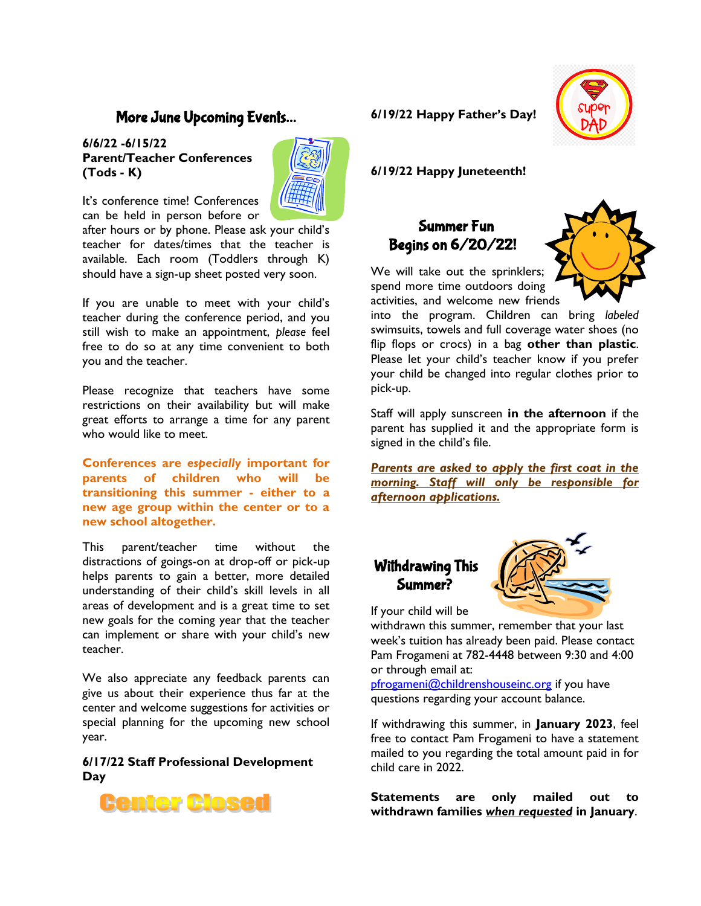## More June Upcoming Events…

#### **6/6/22 -6/15/22 Parent/Teacher Conferences (Tods - K)**



It's conference time! Conferences can be held in person before or

after hours or by phone. Please ask your child's teacher for dates/times that the teacher is available. Each room (Toddlers through K) should have a sign-up sheet posted very soon.

If you are unable to meet with your child's teacher during the conference period, and you still wish to make an appointment, *please* feel free to do so at any time convenient to both you and the teacher.

Please recognize that teachers have some restrictions on their availability but will make great efforts to arrange a time for any parent who would like to meet.

**Conferences are** *especially* **important for parents of children who will be transitioning this summer - either to a new age group within the center or to a new school altogether.** 

This parent/teacher time without the distractions of goings-on at drop-off or pick-up helps parents to gain a better, more detailed understanding of their child's skill levels in all areas of development and is a great time to set new goals for the coming year that the teacher can implement or share with your child's new teacher.

We also appreciate any feedback parents can give us about their experience thus far at the center and welcome suggestions for activities or special planning for the upcoming new school year.

**6/17/22 Staff Professional Development Day**



## **6/19/22 Happy Father's Day!**



**6/19/22 Happy Juneteenth!**

# Summer Fun Begins on 6/20/22!



We will take out the sprinklers; spend more time outdoors doing activities, and welcome new friends

into the program. Children can bring *labeled* swimsuits, towels and full coverage water shoes (no flip flops or crocs) in a bag **other than plastic**. Please let your child's teacher know if you prefer your child be changed into regular clothes prior to pick-up.

Staff will apply sunscreen **in the afternoon** if the parent has supplied it and the appropriate form is signed in the child's file.

*Parents are asked to apply the first coat in the morning. Staff will only be responsible for afternoon applications.*

# Withdrawing This Summer?



If your child will be

withdrawn this summer, remember that your last week's tuition has already been paid. Please contact Pam Frogameni at 782-4448 between 9:30 and 4:00 or through email at:

[pfrogameni@childrenshouseinc.org](mailto:pfrogameni@childrenshouseinc.org) if you have questions regarding your account balance.

If withdrawing this summer, in **January 2023**, feel free to contact Pam Frogameni to have a statement mailed to you regarding the total amount paid in for child care in 2022.

**Statements are only mailed out to withdrawn families** *when requested* **in January**.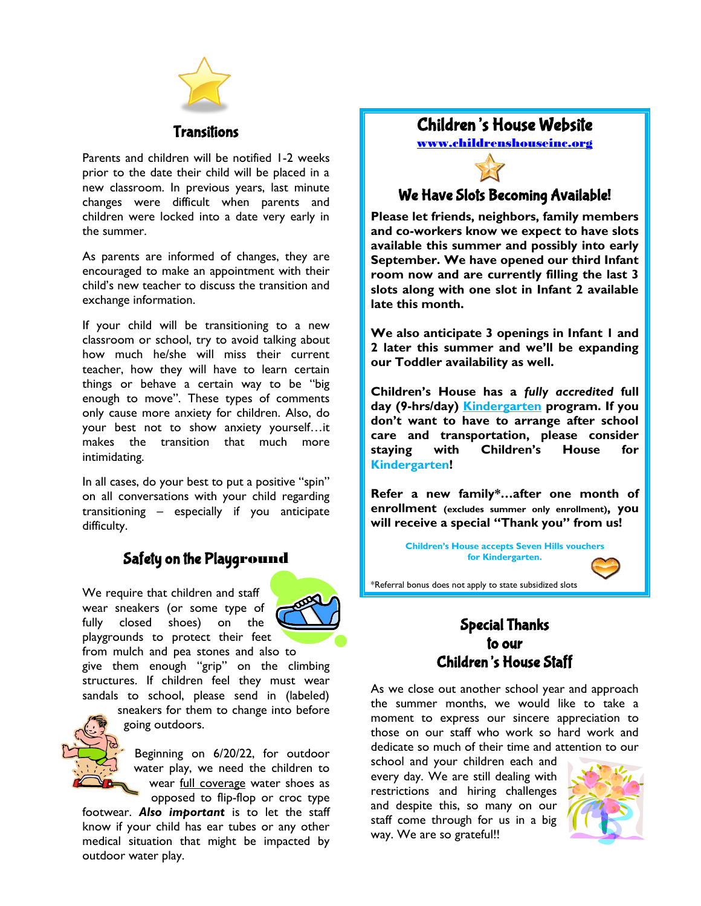

## Transitions

Parents and children will be notified 1-2 weeks prior to the date their child will be placed in a new classroom. In previous years, last minute changes were difficult when parents and children were locked into a date very early in the summer.

As parents are informed of changes, they are encouraged to make an appointment with their child's new teacher to discuss the transition and exchange information.

If your child will be transitioning to a new classroom or school, try to avoid talking about how much he/she will miss their current teacher, how they will have to learn certain things or behave a certain way to be "big enough to move". These types of comments only cause more anxiety for children. Also, do your best not to show anxiety yourself…it makes the transition that much more intimidating.

In all cases, do your best to put a positive "spin" on all conversations with your child regarding transitioning – especially if you anticipate difficulty.

# Safety on the Playground

We require that children and staff wear sneakers (or some type of fully closed shoes) on the playgrounds to protect their feet



from mulch and pea stones and also to give them enough "grip" on the climbing structures. If children feel they must wear sandals to school, please send in (labeled)



sneakers for them to change into before going outdoors.

Beginning on 6/20/22, for outdoor water play, we need the children to wear full coverage water shoes as opposed to flip-flop or croc type

footwear. *Also important* is to let the staff know if your child has ear tubes or any other medical situation that might be impacted by outdoor water play.

# Children's House Website

[www.childrenshouseinc.org](http://www.childrenshouseinc.org/)

## We Have Slots Becoming Available!

**Please let friends, neighbors, family members and co-workers know we expect to have slots available this summer and possibly into early September. We have opened our third Infant room now and are currently filling the last 3 slots along with one slot in Infant 2 available late this month.** 

**We also anticipate 3 openings in Infant 1 and 2 later this summer and we'll be expanding our Toddler availability as well.** 

**Children's House has a** *fully accredited* **full day (9-hrs/day) Kindergarten program. If you don't want to have to arrange after school care and transportation, please consider staying with Children's House for Kindergarten!**

**Refer a new family\*…after one month of enrollment (excludes summer only enrollment), you will receive a special "Thank you" from us!**

> **Children's House accepts Seven Hills vouchers for Kindergarten.**



\*Referral bonus does not apply to state subsidized slots

## Special Thanks to our Children's House Staff

As we close out another school year and approach the summer months, we would like to take a moment to express our sincere appreciation to those on our staff who work so hard work and dedicate so much of their time and attention to our

school and your children each and every day. We are still dealing with restrictions and hiring challenges and despite this, so many on our staff come through for us in a big way. We are so grateful!!